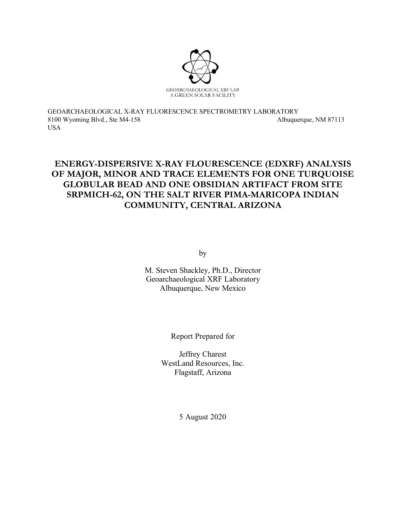

GEOARCHAEOLOGICAL X-RAY FLUORESCENCE SPECTROMETRY LABORATORY 8100 Wyoming Blvd., Ste M4-158 Albuquerque, NM 87113 USA

# **ENERGY-DISPERSIVE X-RAY FLOURESCENCE (EDXRF) ANALYSIS OF MAJOR, MINOR AND TRACE ELEMENTS FOR ONE TURQUOISE GLOBULAR BEAD AND ONE OBSIDIAN ARTIFACT FROM SITE SRPMICH-62, ON THE SALT RIVER PIMA-MARICOPA INDIAN COMMUNITY, CENTRAL ARIZONA**

by

M. Steven Shackley, Ph.D., Director Geoarchaeological XRF Laboratory Albuquerque, New Mexico

Report Prepared for

Jeffrey Charest WestLand Resources, Inc. Flagstaff, Arizona

5 August 2020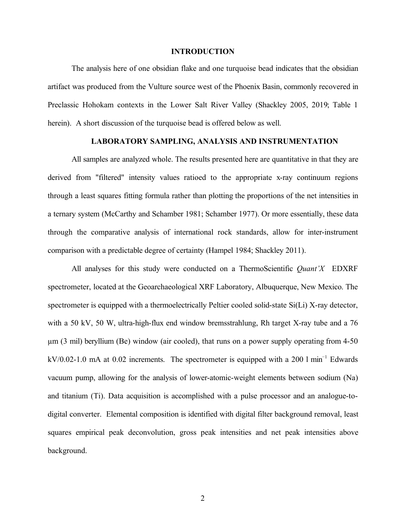#### **INTRODUCTION**

The analysis here of one obsidian flake and one turquoise bead indicates that the obsidian artifact was produced from the Vulture source west of the Phoenix Basin, commonly recovered in Preclassic Hohokam contexts in the Lower Salt River Valley (Shackley 2005, 2019; Table 1 herein). A short discussion of the turquoise bead is offered below as well.

#### **LABORATORY SAMPLING, ANALYSIS AND INSTRUMENTATION**

All samples are analyzed whole. The results presented here are quantitative in that they are derived from "filtered" intensity values ratioed to the appropriate x-ray continuum regions through a least squares fitting formula rather than plotting the proportions of the net intensities in a ternary system (McCarthy and Schamber 1981; Schamber 1977). Or more essentially, these data through the comparative analysis of international rock standards, allow for inter-instrument comparison with a predictable degree of certainty (Hampel 1984; Shackley 2011).

All analyses for this study were conducted on a ThermoScientific *Quant'X* EDXRF spectrometer, located at the Geoarchaeological XRF Laboratory, Albuquerque, New Mexico. The spectrometer is equipped with a thermoelectrically Peltier cooled solid-state Si(Li) X-ray detector, with a 50 kV, 50 W, ultra-high-flux end window bremsstrahlung, Rh target X-ray tube and a 76 µm (3 mil) beryllium (Be) window (air cooled), that runs on a power supply operating from 4-50 kV/0.02-1.0 mA at 0.02 increments. The spectrometer is equipped with a 200 l min<sup>-1</sup> Edwards vacuum pump, allowing for the analysis of lower-atomic-weight elements between sodium (Na) and titanium (Ti). Data acquisition is accomplished with a pulse processor and an analogue-todigital converter. Elemental composition is identified with digital filter background removal, least squares empirical peak deconvolution, gross peak intensities and net peak intensities above background.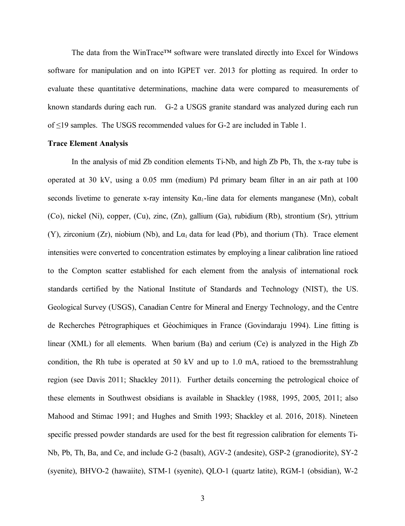The data from the WinTrace™ software were translated directly into Excel for Windows software for manipulation and on into IGPET ver. 2013 for plotting as required. In order to evaluate these quantitative determinations, machine data were compared to measurements of known standards during each run. G-2 a USGS granite standard was analyzed during each run of ≤19 samples. The USGS recommended values for G-2 are included in Table 1.

#### **Trace Element Analysis**

In the analysis of mid Zb condition elements Ti-Nb, and high Zb Pb, Th, the x-ray tube is operated at 30 kV, using a 0.05 mm (medium) Pd primary beam filter in an air path at 100 seconds livetime to generate x-ray intensity  $K\alpha_1$ -line data for elements manganese (Mn), cobalt (Co), nickel (Ni), copper, (Cu), zinc, (Zn), gallium (Ga), rubidium (Rb), strontium (Sr), yttrium (Y), zirconium (Zr), niobium (Nb), and L $\alpha_1$  data for lead (Pb), and thorium (Th). Trace element intensities were converted to concentration estimates by employing a linear calibration line ratioed to the Compton scatter established for each element from the analysis of international rock standards certified by the National Institute of Standards and Technology (NIST), the US. Geological Survey (USGS), Canadian Centre for Mineral and Energy Technology, and the Centre de Recherches Pétrographiques et Géochimiques in France (Govindaraju 1994). Line fitting is linear (XML) for all elements. When barium (Ba) and cerium (Ce) is analyzed in the High Zb condition, the Rh tube is operated at 50 kV and up to 1.0 mA, ratioed to the bremsstrahlung region (see Davis 2011; Shackley 2011). Further details concerning the petrological choice of these elements in Southwest obsidians is available in Shackley (1988, 1995, 2005, 2011; also Mahood and Stimac 1991; and Hughes and Smith 1993; Shackley et al. 2016, 2018). Nineteen specific pressed powder standards are used for the best fit regression calibration for elements Ti-Nb, Pb, Th, Ba, and Ce, and include G-2 (basalt), AGV-2 (andesite), GSP-2 (granodiorite), SY-2 (syenite), BHVO-2 (hawaiite), STM-1 (syenite), QLO-1 (quartz latite), RGM-1 (obsidian), W-2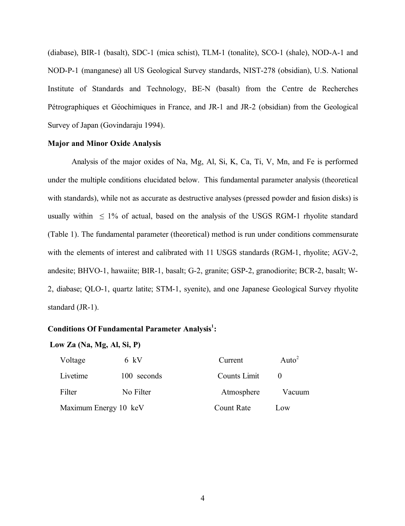(diabase), BIR-1 (basalt), SDC-1 (mica schist), TLM-1 (tonalite), SCO-1 (shale), NOD-A-1 and NOD-P-1 (manganese) all US Geological Survey standards, NIST-278 (obsidian), U.S. National Institute of Standards and Technology, BE-N (basalt) from the Centre de Recherches Pétrographiques et Géochimiques in France, and JR-1 and JR-2 (obsidian) from the Geological Survey of Japan (Govindaraju 1994).

## **Major and Minor Oxide Analysis**

Analysis of the major oxides of Na, Mg, Al, Si, K, Ca, Ti, V, Mn, and Fe is performed under the multiple conditions elucidated below. This fundamental parameter analysis (theoretical with standards), while not as accurate as destructive analyses (pressed powder and fusion disks) is usually within  $\leq 1\%$  of actual, based on the analysis of the USGS RGM-1 rhyolite standard (Table 1). The fundamental parameter (theoretical) method is run under conditions commensurate with the elements of interest and calibrated with 11 USGS standards (RGM-1, rhyolite; AGV-2, andesite; BHVO-1, hawaiite; BIR-1, basalt; G-2, granite; GSP-2, granodiorite; BCR-2, basalt; W-2, diabase; QLO-1, quartz latite; STM-1, syenite), and one Japanese Geological Survey rhyolite standard (JR-1).

# **Conditions Of Fundamental Parameter Analysis<sup>1</sup> :**

#### **Low Za (Na, Mg, Al, Si, P)**

| Voltage               | 6 kV        | Current           | Auto <sup>2</sup> |
|-----------------------|-------------|-------------------|-------------------|
| Livetime              | 100 seconds | Counts Limit      |                   |
| Filter                | No Filter   | Atmosphere        | Vacuum            |
| Maximum Energy 10 keV |             | <b>Count Rate</b> | Low               |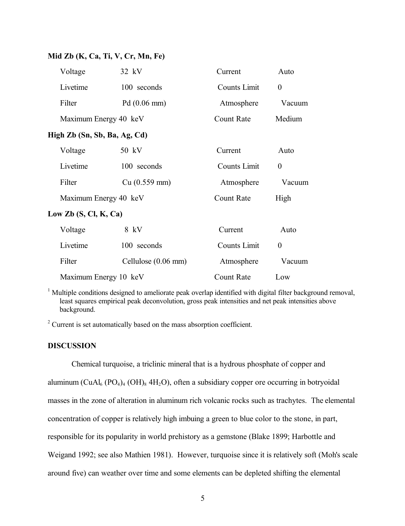## **Mid Zb (K, Ca, Ti, V, Cr, Mn, Fe)**

| Voltage                        | 32 kV                 | Current             | Auto             |  |  |
|--------------------------------|-----------------------|---------------------|------------------|--|--|
| Livetime                       | 100 seconds           | <b>Counts Limit</b> | $\boldsymbol{0}$ |  |  |
| Filter                         | $Pd(0.06 \text{ mm})$ | Atmosphere          | Vacuum           |  |  |
| Maximum Energy 40 keV          |                       | <b>Count Rate</b>   | Medium           |  |  |
| High Zb (Sn, Sb, Ba, Ag, Cd)   |                       |                     |                  |  |  |
| Voltage                        | 50 kV                 | Current             | Auto             |  |  |
| Livetime                       | 100 seconds           | <b>Counts Limit</b> | $\theta$         |  |  |
| Filter                         | Cu (0.559 mm)         | Atmosphere          | Vacuum           |  |  |
| Maximum Energy 40 keV          |                       | <b>Count Rate</b>   | High             |  |  |
| Low $\mathbb{Z}$ h (S Cl K Ca) |                       |                     |                  |  |  |

# **Low Zb (S, Cl, K, Ca)**

| Voltage               | 8 kV                | Current      | Auto   |
|-----------------------|---------------------|--------------|--------|
| Livetime              | 100 seconds         | Counts Limit |        |
| Filter                | Cellulose (0.06 mm) | Atmosphere   | Vacuum |
| Maximum Energy 10 keV |                     | Count Rate   | Low    |

<sup>1</sup> Multiple conditions designed to ameliorate peak overlap identified with digital filter background removal, least squares empirical peak deconvolution, gross peak intensities and net peak intensities above background.

<sup>2</sup> Current is set automatically based on the mass absorption coefficient.

### **DISCUSSION**

Chemical turquoise, a triclinic mineral that is a hydrous phosphate of copper and aluminum (CuAl<sub>6</sub> (PO<sub>4</sub>)<sub>4</sub> (OH)<sub>8</sub> 4H<sub>2</sub>O), often a subsidiary copper ore occurring in botryoidal masses in the zone of alteration in aluminum rich volcanic rocks such as trachytes. The elemental concentration of copper is relatively high imbuing a green to blue color to the stone, in part, responsible for its popularity in world prehistory as a gemstone (Blake 1899; Harbottle and Weigand 1992; see also Mathien 1981). However, turquoise since it is relatively soft (Moh's scale around five) can weather over time and some elements can be depleted shifting the elemental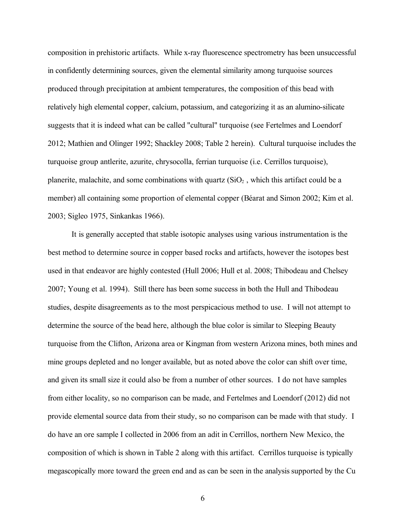composition in prehistoric artifacts. While x-ray fluorescence spectrometry has been unsuccessful in confidently determining sources, given the elemental similarity among turquoise sources produced through precipitation at ambient temperatures, the composition of this bead with relatively high elemental copper, calcium, potassium, and categorizing it as an alumino-silicate suggests that it is indeed what can be called "cultural" turquoise (see Fertelmes and Loendorf 2012; Mathien and Olinger 1992; Shackley 2008; Table 2 herein). Cultural turquoise includes the turquoise group antlerite, azurite, chrysocolla, ferrian turquoise (i.e. Cerrillos turquoise), planerite, malachite, and some combinations with quartz  $(SiO<sub>2</sub>)$ , which this artifact could be a member) all containing some proportion of elemental copper (Béarat and Simon 2002; Kim et al. 2003; Sigleo 1975, Sinkankas 1966).

It is generally accepted that stable isotopic analyses using various instrumentation is the best method to determine source in copper based rocks and artifacts, however the isotopes best used in that endeavor are highly contested (Hull 2006; Hull et al. 2008; Thibodeau and Chelsey 2007; Young et al. 1994). Still there has been some success in both the Hull and Thibodeau studies, despite disagreements as to the most perspicacious method to use. I will not attempt to determine the source of the bead here, although the blue color is similar to Sleeping Beauty turquoise from the Clifton, Arizona area or Kingman from western Arizona mines, both mines and mine groups depleted and no longer available, but as noted above the color can shift over time, and given its small size it could also be from a number of other sources. I do not have samples from either locality, so no comparison can be made, and Fertelmes and Loendorf (2012) did not provide elemental source data from their study, so no comparison can be made with that study. I do have an ore sample I collected in 2006 from an adit in Cerrillos, northern New Mexico, the composition of which is shown in Table 2 along with this artifact. Cerrillos turquoise is typically megascopically more toward the green end and as can be seen in the analysis supported by the Cu

6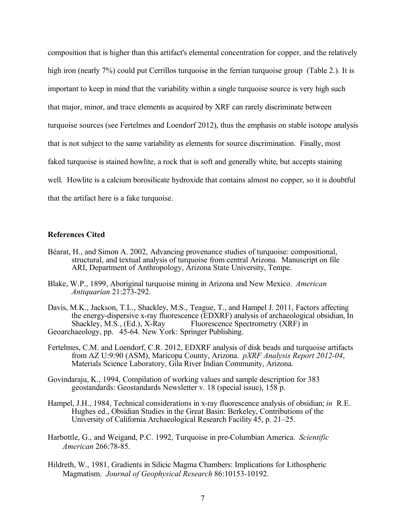composition that is higher than this artifact's elemental concentration for copper, and the relatively high iron (nearly 7%) could put Cerrillos turquoise in the ferrian turquoise group (Table 2.). It is important to keep in mind that the variability within a single turquoise source is very high such that major, minor, and trace elements as acquired by XRF can rarely discriminate between turquoise sources (see Fertelmes and Loendorf 2012), thus the emphasis on stable isotope analysis that is not subject to the same variability as elements for source discrimination. Finally, most faked turquoise is stained howlite, a rock that is soft and generally white, but accepts staining well. Howlite is a calcium borosilicate hydroxide that contains almost no copper, so it is doubtful that the artifact here is a fake turquoise.

#### **References Cited**

- Béarat, H., and Simon A. 2002, Advancing provenance studies of turquoise: compositional, structural, and textual analysis of turquoise from central Arizona. Manuscript on file ARI, Department of Anthropology, Arizona State University, Tempe.
- Blake, W.P., 1899, Aboriginal turquoise mining in Arizona and New Mexico. *American Antiquarian* 21:273-292.
- Davis, M.K., Jackson, T.L., Shackley, M.S., Teague, T., and Hampel J. 2011, Factors affecting the energy-dispersive x-ray fluorescence (EDXRF) analysis of archaeological obsidian, In<br>Shackley, M.S., (Ed.), X-Ray Fluorescence Spectrometry (XRF) in Fluorescence Spectrometry (XRF) in Geoarchaeology, pp. 45-64. New York: Springer Publishing.
- Fertelmes, C.M. and Loendorf, C.R. 2012, EDXRF analysis of disk beads and turquoise artifacts from AZ U:9:90 (ASM), Maricopa County, Arizona. *pXRF Analysis Report 2012-04*, Materials Science Laboratory, Gila River Indian Community, Arizona.
- Govindaraju, K., 1994, Compilation of working values and sample description for 383 geostandards: Geostandards Newsletter v. 18 (special issue), 158 p.
- Hampel, J.H., 1984, Technical considerations in x-ray fluorescence analysis of obsidian; *in* R.E. Hughes ed., Obsidian Studies in the Great Basin: Berkeley, Contributions of the University of California Archaeological Research Facility 45, p. 21–25.
- Harbottle, G., and Weigand, P.C. 1992, Turquoise in pre-Columbian America. *Scientific American* 266:78-85.
- Hildreth, W., 1981, Gradients in Silicic Magma Chambers: Implications for Lithospheric Magmatism. *Journal of Geophysical Research* 86:10153-10192.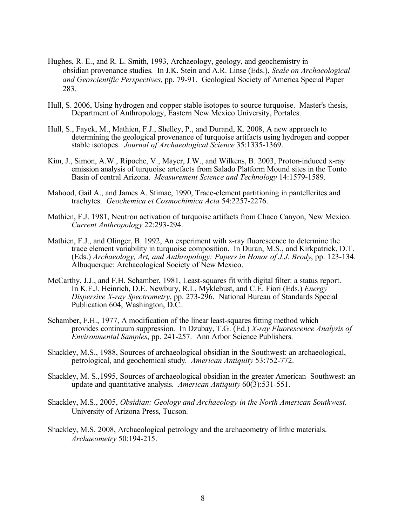- Hughes, R. E., and R. L. Smith, 1993, Archaeology, geology, and geochemistry in obsidian provenance studies. In J.K. Stein and A.R. Linse (Eds.), *Scale on Archaeological and Geoscientific Perspectives*, pp. 79-91. Geological Society of America Special Paper 283.
- Hull, S. 2006, Using hydrogen and copper stable isotopes to source turquoise. Master's thesis, Department of Anthropology, Eastern New Mexico University, Portales.
- Hull, S., Fayek, M., Mathien, F.J., Shelley, P., and Durand, K. 2008, A new approach to determining the geological provenance of turquoise artifacts using hydrogen and copper stable isotopes. *Journal of Archaeological Science* 35:1335-1369.
- Kim, J., Simon, A.W., Ripoche, V., Mayer, J.W., and Wilkens, B. 2003, Proton-induced x-ray emission analysis of turquoise artefacts from Salado Platform Mound sites in the Tonto Basin of central Arizona. *Measurement Science and Technology* 14:1579-1589.
- Mahood, Gail A., and James A. Stimac, 1990, Trace-element partitioning in pantellerites and trachytes. *Geochemica et Cosmochimica Acta* 54:2257-2276.
- Mathien, F.J. 1981, Neutron activation of turquoise artifacts from Chaco Canyon, New Mexico. *Current Anthropology* 22:293-294.
- Mathien, F.J., and Olinger, B. 1992, An experiment with x-ray fluorescence to determine the trace element variability in turquoise composition. In Duran, M.S., and Kirkpatrick, D.T. (Eds.) *Archaeology, Art, and Anthropology: Papers in Honor of J.J. Brody*, pp. 123-134. Albuquerque: Archaeological Society of New Mexico.
- McCarthy, J.J., and F.H. Schamber, 1981, Least-squares fit with digital filter: a status report. In K.F.J. Heinrich, D.E. Newbury, R.L. Myklebust, and C.E. Fiori (Eds.) *Energy Dispersive X-ray Spectrometry*, pp. 273-296. National Bureau of Standards Special Publication 604, Washington, D.C.
- Schamber, F.H., 1977, A modification of the linear least-squares fitting method which provides continuum suppression. In Dzubay, T.G. (Ed.) *X-ray Fluorescence Analysis of Environmental Samples*, pp. 241-257. Ann Arbor Science Publishers.
- Shackley, M.S., 1988, Sources of archaeological obsidian in the Southwest: an archaeological, petrological, and geochemical study. *American Antiquity* 53:752-772.
- Shackley, M. S.,1995, Sources of archaeological obsidian in the greater American Southwest: an update and quantitative analysis. *American Antiquity* 60(3):531-551.
- Shackley, M.S., 2005, *Obsidian: Geology and Archaeology in the North American Southwest*. University of Arizona Press, Tucson.
- Shackley, M.S. 2008, Archaeological petrology and the archaeometry of lithic materials. *Archaeometry* 50:194-215.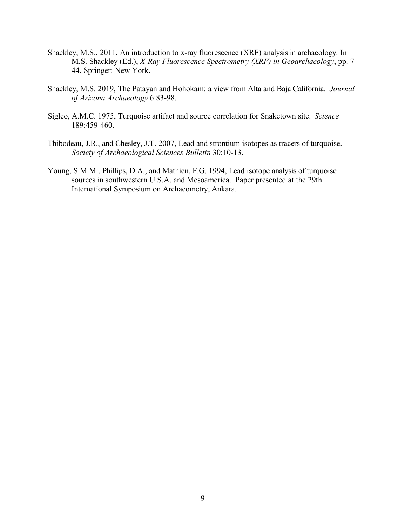- Shackley, M.S., 2011, An introduction to x-ray fluorescence (XRF) analysis in archaeology. In M.S. Shackley (Ed.), *X-Ray Fluorescence Spectrometry (XRF) in Geoarchaeology*, pp. 7- 44. Springer: New York.
- Shackley, M.S. 2019, The Patayan and Hohokam: a view from Alta and Baja California. *Journal of Arizona Archaeology* 6:83-98.
- Sigleo, A.M.C. 1975, Turquoise artifact and source correlation for Snaketown site. *Science* 189:459-460.
- Thibodeau, J.R., and Chesley, J.T. 2007, Lead and strontium isotopes as tracers of turquoise. *Society of Archaeological Sciences Bulletin* 30:10-13.
- Young, S.M.M., Phillips, D.A., and Mathien, F.G. 1994, Lead isotope analysis of turquoise sources in southwestern U.S.A. and Mesoamerica. Paper presented at the 29th International Symposium on Archaeometry, Ankara.